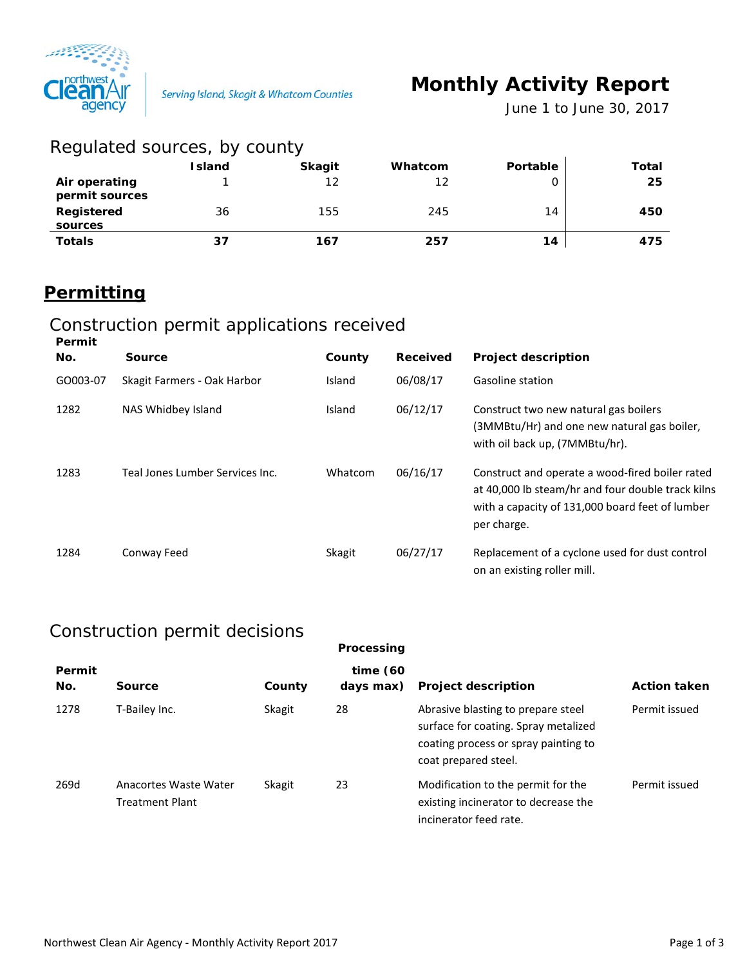

Serving Island, Skagit & Whatcom Counties

*June 1 to June 30, 2017*

| Regulated sources, by county    |               |               |         |          |       |
|---------------------------------|---------------|---------------|---------|----------|-------|
|                                 | <b>Island</b> | <b>Skagit</b> | Whatcom | Portable | Total |
| Air operating<br>permit sources |               | 12            | 12      |          | 25    |
| Registered<br>sources           | 36            | 155           | 245     | 14       | 450   |
| <b>Totals</b>                   | 37            | 167           | 257     | 14       | 475   |

# **Permitting**

## Construction permit applications received

| Permit<br>No. | Source                          | County  | Received | <b>Project description</b>                                                                                                                                             |
|---------------|---------------------------------|---------|----------|------------------------------------------------------------------------------------------------------------------------------------------------------------------------|
| GO003-07      | Skagit Farmers - Oak Harbor     | Island  | 06/08/17 | Gasoline station                                                                                                                                                       |
| 1282          | NAS Whidbey Island              | Island  | 06/12/17 | Construct two new natural gas boilers<br>(3MMBtu/Hr) and one new natural gas boiler,<br>with oil back up, (7MMBtu/hr).                                                 |
| 1283          | Teal Jones Lumber Services Inc. | Whatcom | 06/16/17 | Construct and operate a wood-fired boiler rated<br>at 40,000 lb steam/hr and four double track kilns<br>with a capacity of 131,000 board feet of lumber<br>per charge. |
| 1284          | Conway Feed                     | Skagit  | 06/27/17 | Replacement of a cyclone used for dust control<br>on an existing roller mill.                                                                                          |

### Construction permit decisions

|               |                                                 |        | Processing            |                                                                                                                                            |                     |
|---------------|-------------------------------------------------|--------|-----------------------|--------------------------------------------------------------------------------------------------------------------------------------------|---------------------|
| Permit<br>No. | Source                                          | County | time(60)<br>days max) | <b>Project description</b>                                                                                                                 | <b>Action taken</b> |
| 1278          | T-Bailey Inc.                                   | Skagit | 28                    | Abrasive blasting to prepare steel<br>surface for coating. Spray metalized<br>coating process or spray painting to<br>coat prepared steel. | Permit issued       |
| 269d          | Anacortes Waste Water<br><b>Treatment Plant</b> | Skagit | 23                    | Modification to the permit for the<br>existing incinerator to decrease the<br>incinerator feed rate.                                       | Permit issued       |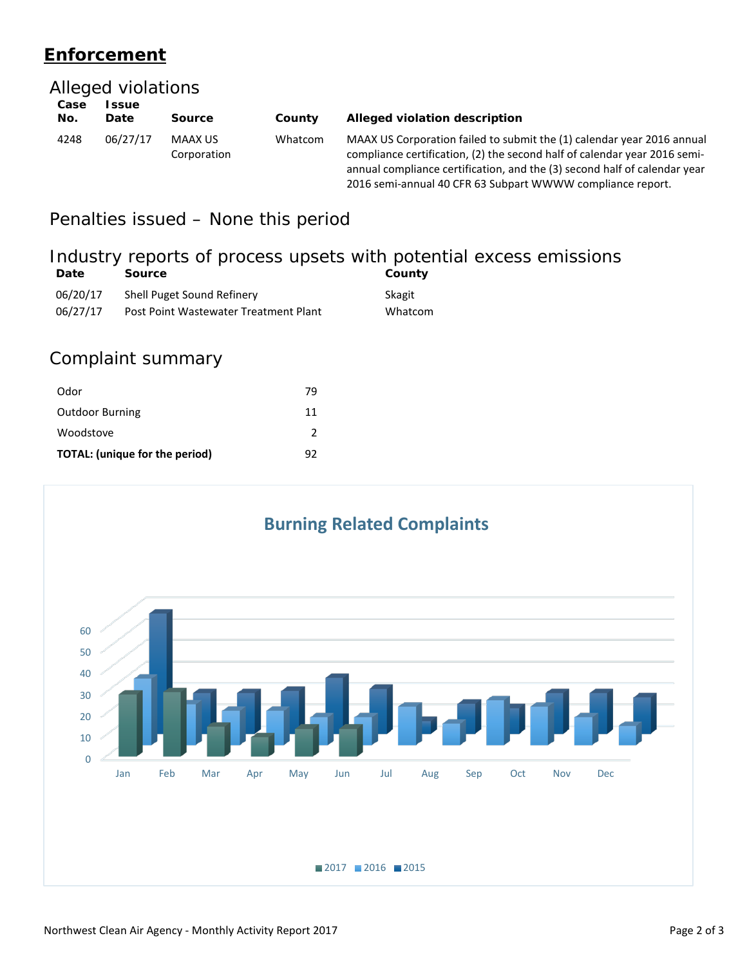### **Enforcement**

#### Alleged violations **Case No. Issue Source County Alleged violation description** 4248 06/27/17 MAAX US Corporation Whatcom MAAX US Corporation failed to submit the (1) calendar year 2016 annual compliance certification, (2) the second half of calendar year 2016 semiannual compliance certification, and the (3) second half of calendar year 2016 semi-annual 40 CFR 63 Subpart WWWW compliance report.

### Penalties issued – None this period

# Industry reports of process upsets with potential excess emissions

| Date     | Source                                | County  |
|----------|---------------------------------------|---------|
| 06/20/17 | <b>Shell Puget Sound Refinery</b>     | Skagit  |
| 06/27/17 | Post Point Wastewater Treatment Plant | Whatcom |

### Complaint summary

| Odor                           | 79 |
|--------------------------------|----|
| <b>Outdoor Burning</b>         | 11 |
| Woodstove                      | 2  |
| TOTAL: (unique for the period) | 92 |